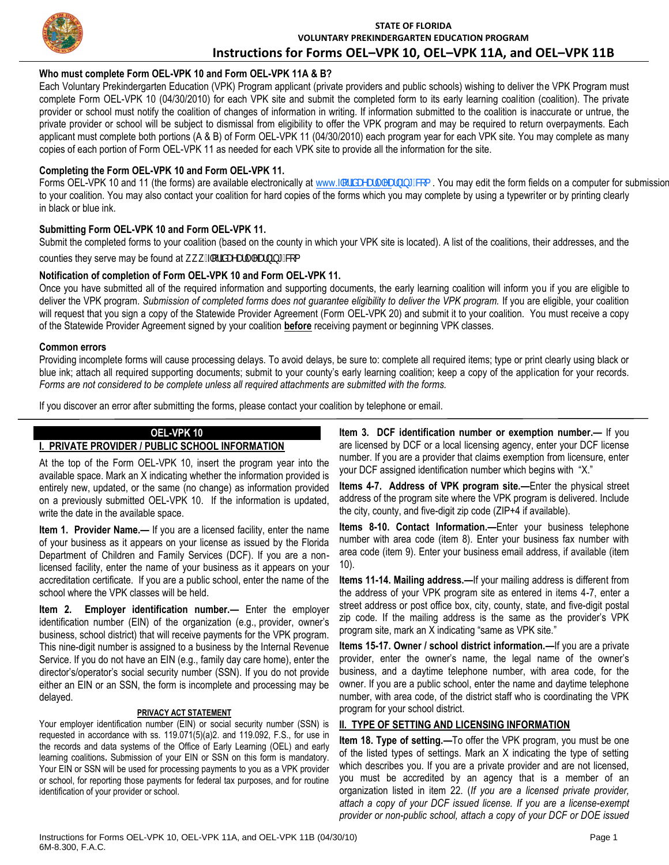

## **STATE OF FLORIDA VOLUNTARY PREKINDERGARTEN EDUCATION PROGRAM Instructions for Forms OEL–VPK 10, OEL–VPK 11A, and OEL–VPK 11B**

## **Who must complete Form OEL-VPK 10 and Form OEL-VPK 11A & B?**

Each Voluntary Prekindergarten Education (VPK) Program applicant (private providers and public schools) wishing to deliver the VPK Program must complete Form OEL-VPK 10 (04/30/2010) for each VPK site and submit the completed form to its early learning coalition (coalition). The private provider or school must notify the coalition of changes of information in writing. If information submitted to the coalition is inaccurate or untrue, the private provider or school will be subject to dismissal from eligibility to offer the VPK program and may be required to return overpayments. Each applicant must complete both portions (A & B) of Form OEL-VPK 11 (04/30/2010) each program year for each VPK site. You may complete as many copies of each portion of Form OEL-VPK 11 as needed for each VPK site to provide all the information for the site.

## **Completing the Form OEL-VPK 10 and Form OEL-VPK 11.**

Forms OEL-VPK 10 and 11 (the forms) are available electronically at www.ZcfXUVUfnYUfbb['Wa. You may edit the form fields on a computer for submission to your coalition. You may also contact your coalition for hard copies of the forms which you may complete by using a typewriter or by printing clearly in black or blue ink.

## **Submitting Form OEL-VPK 10 and Form OEL-VPK 11.**

Submit the completed forms to your coalition (based on the county in which your VPK site is located). A list of the coalitions, their addresses, and the

counties they serve may be found at k k k "Zcf]XUYUf mYUfb]b[ "Wa

#### **Notification of completion of Form OEL-VPK 10 and Form OEL-VPK 11.**

Once you have submitted all of the required information and supporting documents, the early learning coalition will inform you if you are eligible to deliver the VPK program. Submission of completed forms does not guarantee eligibility to deliver the VPK program. If you are eligible, your coalition will request that you sign a copy of the Statewide Provider Agreement (Form OEL-VPK 20) and submit it to your coalition. You must receive a copy of the Statewide Provider Agreement signed by your coalition **before** receiving payment or beginning VPK classes.

#### **Common errors**

Providing incomplete forms will cause processing delays. To avoid delays, be sure to: complete all required items; type or print clearly using black or blue ink; attach all required supporting documents; submit to your county's early learning coalition; keep a copy of the application for your records. *Forms are not considered to be complete unless all required attachments are submitted with the forms.*

If you discover an error after submitting the forms, please contact your coalition by telephone or email.

# **OEL-VPK 10**

## **I. PRIVATE PROVIDER / PUBLIC SCHOOL INFORMATION** At the top of the Form OEL-VPK 10, insert the program year into the

available space. Mark an X indicating whether the information provided is entirely new, updated, or the same (no change) as information provided on a previously submitted OEL-VPK 10. If the information is updated, write the date in the available space.

**Item 1. Provider Name.—** If you are a licensed facility, enter the name of your business as it appears on your license as issued by the Florida Department of Children and Family Services (DCF). If you are a nonlicensed facility, enter the name of your business as it appears on your accreditation certificate. If you are a public school, enter the name of the school where the VPK classes will be held.

**Item 2. Employer identification number.—** Enter the employer identification number (EIN) of the organization (e.g., provider, owner's business, school district) that will receive payments for the VPK program. This nine-digit number is assigned to a business by the Internal Revenue Service. If you do not have an EIN (e.g., family day care home), enter the director's/operator's social security number (SSN). If you do not provide either an EIN or an SSN, the form is incomplete and processing may be delayed.

#### **PRIVACY ACT STATEMENT**

Your employer identification number (EIN) or social security number (SSN) is requested in accordance with ss. 119.071(5)(a)2. and 119.092, F.S., for use in the records and data systems of the Office of Early Learning (OEL) and early learning coalitions**.** Submission of your EIN or SSN on this form is mandatory. Your EIN or SSN will be used for processing payments to you as a VPK provider or school, for reporting those payments for federal tax purposes, and for routine identification of your provider or school.

**Item 3. DCF identification number or exemption number.—** If you are licensed by DCF or a local licensing agency, enter your DCF license number. If you are a provider that claims exemption from licensure, enter your DCF assigned identification number which begins with "X."

**Items 4-7. Address of VPK program site.—**Enter the physical street address of the program site where the VPK program is delivered. Include the city, county, and five-digit zip code (ZIP+4 if available).

**Items 8-10. Contact Information.—**Enter your business telephone number with area code (item 8). Enter your business fax number with area code (item 9). Enter your business email address, if available (item 10).

**Items 11-14. Mailing address.—**If your mailing address is different from the address of your VPK program site as entered in items 4-7, enter a street address or post office box, city, county, state, and five-digit postal zip code. If the mailing address is the same as the provider's VPK program site, mark an X indicating "same as VPK site."

**Items 15-17. Owner / school district information.—**If you are a private provider, enter the owner's name, the legal name of the owner's business, and a daytime telephone number, with area code, for the owner. If you are a public school, enter the name and daytime telephone number, with area code, of the district staff who is coordinating the VPK program for your school district.

## **II. TYPE OF SETTING AND LICENSING INFORMATION**

**Item 18. Type of setting.—**To offer the VPK program, you must be one of the listed types of settings. Mark an X indicating the type of setting which describes you. If you are a private provider and are not licensed, you must be accredited by an agency that is a member of an organization listed in item 22. (*If you are a licensed private provider, attach a copy of your DCF issued license. If you are a license-exempt provider or non-public school, attach a copy of your DCF or DOE issued*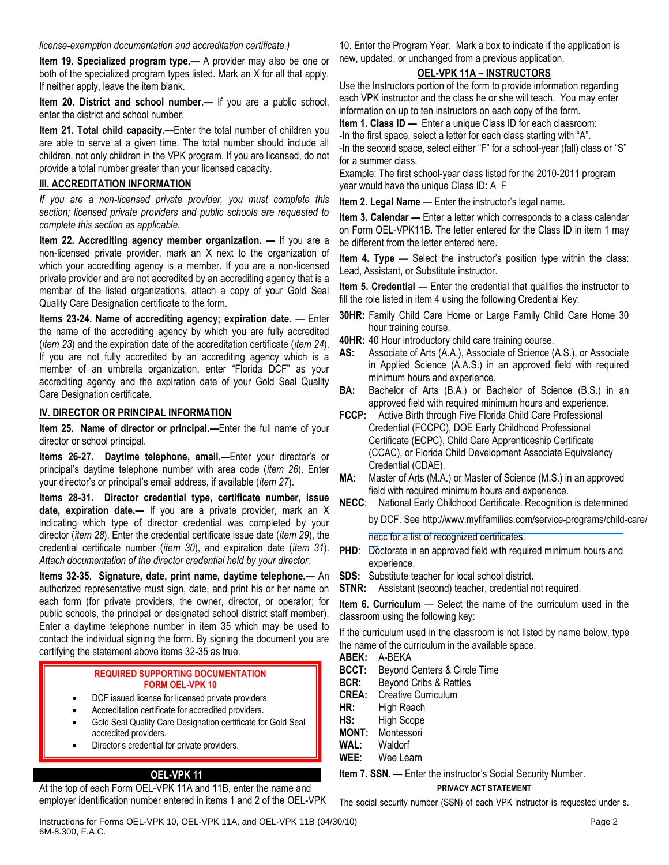#### *license-exemption documentation and accreditation certificate.)*

**Item 19. Specialized program type.—** A provider may also be one or both of the specialized program types listed. Mark an X for all that apply. If neither apply, leave the item blank.

**Item 20. District and school number.—** If you are a public school, enter the district and school number.

**Item 21. Total child capacity.—**Enter the total number of children you are able to serve at a given time. The total number should include all children, not only children in the VPK program. If you are licensed, do not provide a total number greater than your licensed capacity.

## **III. ACCREDITATION INFORMATION**

*If you are a non-licensed private provider, you must complete this section; licensed private providers and public schools are requested to complete this section as applicable.*

**Item 22. Accrediting agency member organization. — If you are a** non-licensed private provider, mark an X next to the organization of which your accrediting agency is a member. If you are a non-licensed private provider and are not accredited by an accrediting agency that is a member of the listed organizations, attach a copy of your Gold Seal Quality Care Designation certificate to the form.

**Items 23-24. Name of accrediting agency; expiration date.** — Enter the name of the accrediting agency by which you are fully accredited (*item 23*) and the expiration date of the accreditation certificate (*item 24*). If you are not fully accredited by an accrediting agency which is a member of an umbrella organization, enter "Florida DCF" as your accrediting agency and the expiration date of your Gold Seal Quality Care Designation certificate.

#### **IV. DIRECTOR OR PRINCIPAL INFORMATION**

**Item 25. Name of director or principal.—**Enter the full name of your director or school principal.

**Items 26-27. Daytime telephone, email.—**Enter your director's or principal's daytime telephone number with area code (*item 26*). Enter your director's or principal's email address, if available (*item 27*).

**Items 28-31. Director credential type, certificate number, issue date, expiration date.—** If you are a private provider, mark an X indicating which type of director credential was completed by your director (*item 28*). Enter the credential certificate issue date (*item 29*), the credential certificate number (*item 30*), and expiration date (*item 31*). *Attach documentation of the director credential held by your director.*

**Items 32-35. Signature, date, print name, daytime telephone.—** An authorized representative must sign, date, and print his or her name on each form (for private providers, the owner, director, or operator; for public schools, the principal or designated school district staff member). Enter a daytime telephone number in item 35 which may be used to contact the individual signing the form. By signing the document you are certifying the statement above items 32-35 as true.

#### **REQUIRED SUPPORTING DOCUMENTATION FORM OEL-VPK 10**

- DCF issued license for licensed private providers.
- Accreditation certificate for accredited providers.
- Gold Seal Quality Care Designation certificate for Gold Seal accredited providers.
- Director's credential for private providers.

#### **OEL-VPK 11**

At the top of each Form OEL-VPK 11A and 11B, enter the name and employer identification number entered in items 1 and 2 of the OEL-VPK

10. Enter the Program Year. Mark a box to indicate if the application is new, updated, or unchanged from a previous application.

### **OEL-VPK 11A – INSTRUCTORS**

Use the Instructors portion of the form to provide information regarding each VPK instructor and the class he or she will teach. You may enter information on up to ten instructors on each copy of the form.

**Item 1. Class ID —** Enter a unique Class ID for each classroom: -In the first space, select a letter for each class starting with "A". -In the second space, select either "F" for a school-year (fall) class or "S" for a summer class.

Example: The first school-year class listed for the 2010-2011 program year would have the unique Class ID:  $A \nightharpoonup$ 

**Item 2. Legal Name — Enter the instructor's legal name.** 

**Item 3. Calendar – Enter a letter which corresponds to a class calendar** on Form OEL-VPK11B. The letter entered for the Class ID in item 1 may be different from the letter entered here.

**Item 4. Type —** Select the instructor's position type within the class: Lead, Assistant, or Substitute instructor.

**Item 5. Credential** — Enter the credential that qualifies the instructor to fill the role listed in item 4 using the following Credential Key:

- **30HR:** Family Child Care Home or Large Family Child Care Home 30 hour training course.
- **40HR:** 40 Hour introductory child care training course.
- **AS:** Associate of Arts (A.A.), Associate of Science (A.S.), or Associate in Applied Science (A.A.S.) in an approved field with required minimum hours and experience.
- **BA:** Bachelor of Arts (B.A.) or Bachelor of Science (B.S.) in an approved field with required minimum hours and experience.
- **FCCP:** Active Birth through Five Florida Child Care Professional Credential (FCCPC), DOE Early Childhood Professional Certificate (ECPC), Child Care Apprenticeship Certificate (CCAC), or Florida Child Development Associate Equivalency Credential (CDAE).
- **MA:** Master of Arts (M.A.) or Master of Science (M.S.) in an approved field with required minimum hours and experience.
- **NECC**: National Early Childhood Certificate. Recognition is determined

by DCF. See [http://www.myflfamilies.com/service-programs/child-care/](http://www.myflfamilies.com/service-programs/child-care/necc)

necc for a list of recognized certificates.

- **PHD:** Doctorate in an approved field with required minimum hours and experience.
- **SDS:** Substitute teacher for local school district.
- **STNR:** Assistant (second) teacher, credential not required.

**Item 6. Curriculum** — Select the name of the curriculum used in the classroom using the following key:

If the curriculum used in the classroom is not listed by name below, type the name of the curriculum in the available space.

- **ABEK:** A-BEKA
- **BCCT:** Beyond Centers & Circle Time
- **BCR:** Beyond Cribs & Rattles
- **CREA:** Creative Curriculum
- HR: High Reach
- **HS:** High Scope
- **MONT:** Montessori
- **WAL**: Waldorf
- **WEE**: Wee Learn

**Item 7. SSN. — Enter the instructor's Social Security Number.** 

#### **PRIVACY ACT STATEMENT**

The social security number (SSN) of each VPK instructor is requested under s.